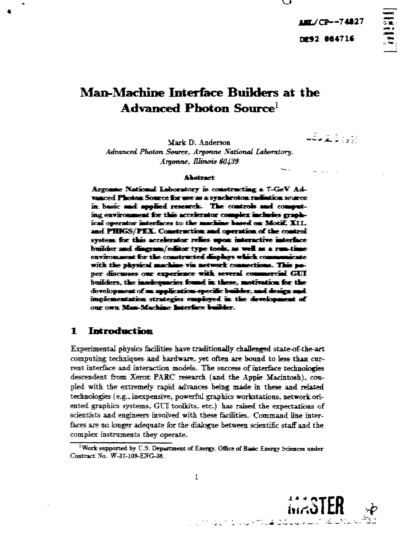**AMT./CP--74827** DE92 864716

# Man-Machine Interface Ruilders at the Advanced Photon Source<sup>l</sup>

484 2.6 7, 19

Mark D. Anderson Advanced Photon Source, Argonne National Laboratory. Argonne, Illinois 60439

#### **Ahatract**

Argonne National Laboratory is constructing a 7-GeV Advanced Photon Source for use as a synchroton radiation source in basic and applied research. The controls and computing environment for this accelerator complex includes graphical operator interfaces to the machine hased on Motif. XII. and PHIGS/PEX. Construction and operation of the control system for this accelerator relies upon interactive interface builder and disgram/editor type tools, as well as a run-time environment for the constructed displays which communicate with the physical machine via network connections. This poper discusses our experience with several commercial GUI builders, the inadequacies found in these, motivation for the development of an application specific builder, and design and implementation strategies employed in the development of our own Man-Machine Interface builder.

#### Introduction 1

Experimental physics facilities have traditionally challenged state-of-the-art computing techniques and hardware, yet often are bound to less than current interface and interaction models. The success of interface technologies descendent from Xerox PARC research (and the Apple Macintosh), coupled with the extremely rapid advances being made in these and related technologies (e.g., inexpensive, powerful graphics workstations, network oriented graphics systems. GUI toolkits, etc.) has raised the expectations of scientists and engineers involved with these facilities. Command line interfaces are no longer adequate for the dialogue between scientific staff and the complex instruments they operate.



Work supported by U.S. Department of Energy, Office of Basic Energy Sciences under Contract No. W-31-109-ENG-38.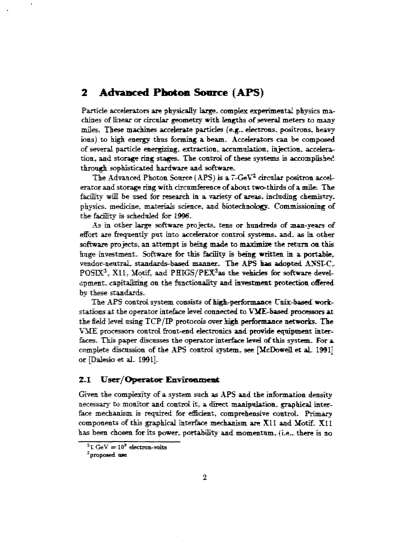## **2 Advanced Photon Source (APS)**

Particle accelerators are physically large, complex experimental physics machines of linear or circular geometry with lengths of several meters to many miles. These machines accelerate particles (e.g., electrons, positrons, heavy ions) to high energy thus forming a beam. Accelerators can be composed of several particle energizing, extraction., accumulation, injection- acceleration, and storage ring stages. The control of these systems is accomplished through sophisticated hardware and software;

The Advanced Photon Source (APS) is a  $7$ -GeV<sup>2</sup> circular positron accelerator and storage ring with circumference of about two-thirds of a mile. The facility will be used for research in a variety of areas, including chemistry, physics, medicine, materials science, and biotechnology. Commissioning of the facility is scheduled for 1996.

As in other large software projects, tens or hundreds of man-years of effort are frequently- put into accelerator control systems. and. as in other software projects, an attempt is being made to maximize the return on this huge investment.. Software for this facility is being written in a portable. vendor-neutral, standards-based manner. The APS has adopted ANSI-C, POSIX<sup>3</sup>. X11, Motif, and PHIGS/PEX<sup>3</sup>as the vehicles for software development. capitalizing on the functionality and investment protection offered by these standards..

The APS control system consists of high-performance Unix-based workstations at the operator inteface level connected to VME-based processors at the field level using TCP/IP protocols over high performance networks. The VME processors control front-end electronics and provide equipment interfaces. This paper discusses the operator interface level of this system. For a complete discussion of the APS control system, see [McDowell et aL 1991] or [Dalesio et al. 1991].

### 2.1 User/Operator Environment

Given the complexity of a system such as APS and the information density necessary to monitor and control it., a direct manipulation, graphical interface mechanism is required for efficient, comprehensive control. Primary components of this graphical interface mechanism are XI1 and Uotif. XII has been chosen for its power, portability and momentum. {i.e.. there is no

 $^2$ I GeV  $=10^3$  electron-volts

**<sup>&</sup>quot;proposed one**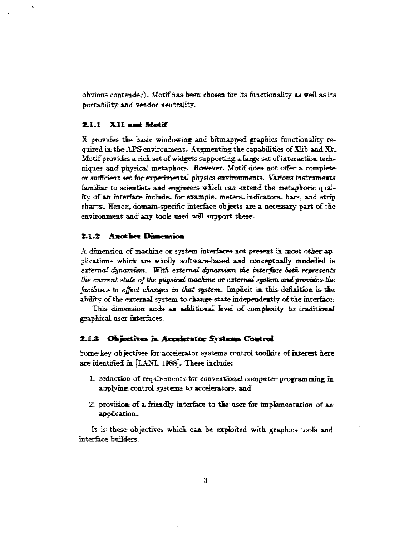obvious contender). Motif has been chosen for its functionality as well as its portability and vendor neutrality.

#### 2.1.1 X11 and Motif

X provides the basic windowing and bitmapped graphics functionality required in the APS environment. Augmenting the capabilities of Xlib and Xt. Motif provides a rich set of widgets supporting a large set of interaction techniques and physical metaphors. However. Motif does not offer a complete or sufficient set for experimental physics environments. Various instruments familiar to scientists and engineers which can extend the metaphoric quality of an interface include, for example, meters, indicators, bars, and strip charts. Hence, domain-specific interface objects are a necessary part of the environment and any tools used will support these.

#### 2.1.2 Another Dimension

A dimension of machine or system interfaces not present in most other applications which are wholly software-based and conceptually modelled is external dynamism. With external dynamism the interface both represents the current state of the physical machine or external system and provides the facilities to effect changes in that system. Implicit in this definition is the ability of the external system to change state independently of the interface.

This dimension adds an additional level of complexity to traditional graphical user interfaces.

#### 2.1.3 Objectives in Accelerator Systems Control

Some key objectives for accelerator systems control toolkits of interest here are identified in [LANL 1988]. These include:

- 1. reduction of requirements for conventional computer programming in applying control systems to accelerators, and
- 2. provision of a friendly interface to the user for implementation of an application.

It is these objectives which can be exploited with graphics tools and interface builders.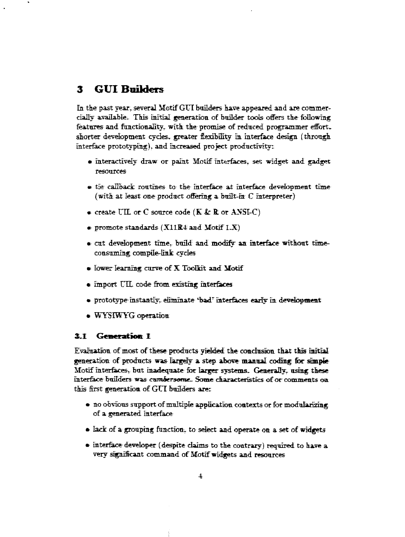## **3 GUI Builders**

In the past year, several Motif GUT builders have appeared and are commercially available. This initial generation of builder tools offers the following features and functionality, with the promise of reduced programmer effort, shorter development cycles, greater feribility in. interface design (through interface prototyping), and increased project productivity::

- interactively draw or paint Motif interfaces, set widget and gadget resources
- tie callback routines to the interface at interface development time (with at least one product offering a built-in C interpreter)
- create LTL or C source code (K *Sc* R or AXSI-C)
- $\bullet$  promote standards (X11R4 and Motif I.X)
- cut development time, build and modify an interface without timeconsuming compile-link cycles
- lower learning curve of X Toolkit and Motif
- import UTL code from existing interfaces
- prototype instantly, eliminate 'bad' interfaces early in development
- WYSIWYG operation

#### 3.1 **Generation** 1

Evaluation of most of these products yielded the conclusion that this initial generation of products was largely a step above manual coding for simple Motif interfaces-, but inadequate for larger systems. Generally, using these interface builders was *cumbersome..* Some characteristics of or comments oa this first generation of GUI builders are:

- no obvious support of multiple application contexts or for modularizing of a generated interface
- lack of a grouping function, to select and operate on a set of widgets
- interface developer (despite claims to the contrary) required to have a very significant command of Motif widgets and resources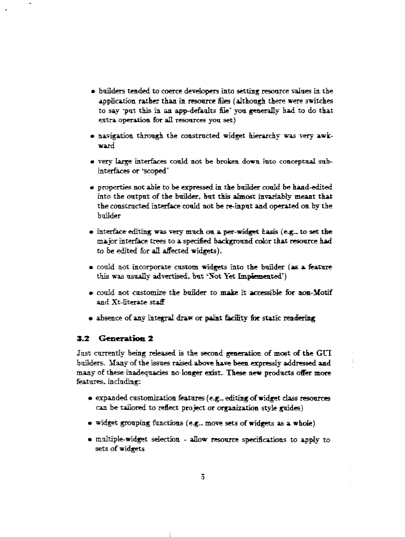- builders tended to coerce developers into setting resource values in the application, ratter than *in* resource files (although there were switches to say 'put this in an app-defaults file' you generally had to do that extra operation for all resources you set)
- navigation, through the constructed widget hierarchy was very awkward
- very large interfaces could not be broken down into conceptual sul\* interfaces or 'scoped"
- properties, not able to be expressed in the builder could be hand-edited into the output of the builder. But this almost in variably meant that the constructed interface could not be re-input and operated on by the builder
- interface editing was very much on. a per-wrdget basis (e-g\_ to set the major interface trees to a specified background color that resource had to be edited for all affected widgets).
- could not incorporate custom, widgets into the builder (as a feature this was usually advertised. but 'Not Yet Implemented')
- could not customize the builder to make it accessible for non-Motif and Xt-literate-staff
- absence of any integral draw or paint facility foe static rendering

#### **3.2 Generation 2**

Just currently being released is the second generation of most of the GUI builders, if any of the issues raised above have been, expressly addressed **and** many of these inadequacies no longer exist.. These new products offer more features, including:

- $\bullet$  expanded customization features (e.g., editing of widget class resources can be tailored to reflect project or organization style guides)
- $\bullet$  widget grouping functions (e.g., move sets of widgets as a whole)
- multiple-widget selection allow resource specifications to apply to sets of widgets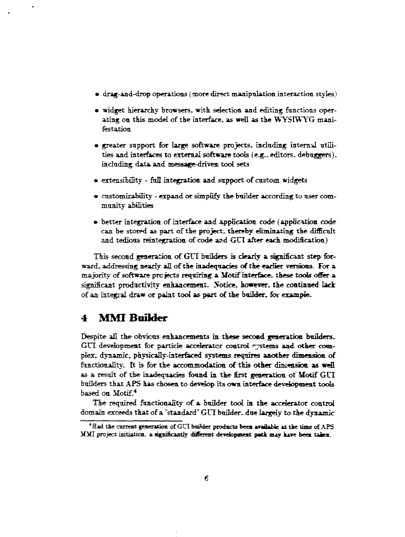- drag-and-drop operations (more direct manipulation interaction styles)
- widget hierarchy browsers, with selection and editing functions operating, on this model of the interface, as well as the WYSIWYG manifestation
- greater support for large software projects, including internal utilities and interfaces to external software tools (e.g.. editors, debuggers). including data and message-driven tool sets
- extensibility full integration and support of custom widgets
- customizability expand or simplify the builder according to user community abilities
- better integration of interface and application code (application code can be- stored as part of the project, thereby eliminating the difficult and tedious reintegratibn of code and GUI after each modification)

This second generation, of GUI builders is dearly a significant step forward, addressing nearly all of the inadequacies of the earlier versions. For a majority of software projects requiring a Motif interface, these tools offer a significant productivity enhancement.. Notice, however, the continued lack of an integral draw or paint tool as part of the builder, for example.

## **4 MMI Builder**

Despite all the obvicus enhancements mi these second generation builders. GUI development for particle accelerator control externs and other complex, dynamic, physically-interfaced systems requires another dimension of functionality. It is for the accommodation of this other dinension as well as a result of the inadequacies found in. the first generation of Motif GUI builders that APS has chosen to develop its own interface development tools. based on Motif.<sup>4</sup>

The required functionality of a builder tool in. the accelerator control domain exceeds that of a "standard" GUI builder, due largely to the dynamic

**<sup>4</sup> Had the current generation of GUI boi'der products been available** *at* **the time of APS MMI project initiation, a significantly different development pack may kive been talea.**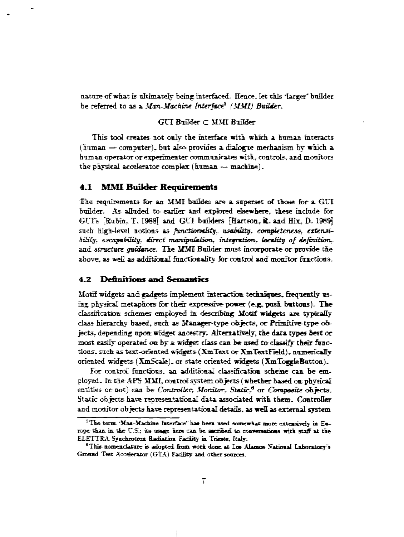nature of what is ultimately being interfaced. Hence, let this 'larger' builder be referred to as a *Man-Machine Interface (MMI) Builder.*

### $GUI$  Builder  $\subset$  MMI Ruilder

This tool creates not only the interface with, which, a human interacts (human  $\rightarrow$  computer), but also provides a dialogue mechanism by which a human operator or experimenter communicates with, controls, and monitors the physical accelerator complex (human  $\rightarrow$  machine).

#### **4.1 MMI Builder Requirements**

The requirements for an MMI builder are a superset of those for a GUI builder. As alluded to earlier and explored elsewhere, these include for GUI's [Rubin, T. 1988] and GUI builders [Hartson, R. and Hix, D. 1989] such high-level notions as *functionality*, *usability, completeness, extensibility.. escapabHity. direct manipulation, integration, locality of definition,* and *structure quidance*. The MMI Builder must incorporate or provide the above, as well as additional functionality for control and monitor functions.

#### **4.2 Definitions and Semantics**

Motif widgets and gadgets implement interaction techniques, frequently using: physical metaphors for their expressive power (e.g. posh buttons). The classification schemes employed in describing; Motif widgets are typically class hierarchy based, such as Manager-type objects, or Primitive-type objects, depending upon widget ancestry. Alternatively, tie data types best or most easily operated on by a widget class can be used to classify their functions, such as text-oriented widgets (XmText or XmTextField), numerically oriented widgets (XmScale). or state oriented widgets {XmToggfeButton).

For control functions, an additional classification scheme can be employed. In the APS MMI.control system objects (whether based on physical entities or not) can be *Controller*, Monitor, Static.<sup>6</sup> or *Composite* objects. Static objects have representational data associated with them. Controller and monitor objects have representational details, as well as external system

<sup>&</sup>lt;sup>5</sup>The term 'Maa-Machine Interface' has been used somewhat more extensively in Eu**rope tkan. in the** *U.S.:* **its usage Here can be aacnbed to ccvexsacioas with staif** *IX* **the EIETTBA Sjndirottoii Radutioa Facility in Trieste,** *Italy.*

**<sup>9</sup>This nomenclature is adopted from work done** *at* **LOB Alamos National Laiontocr's Ground Test Accelerator (GTA) Facility aad otker sources.**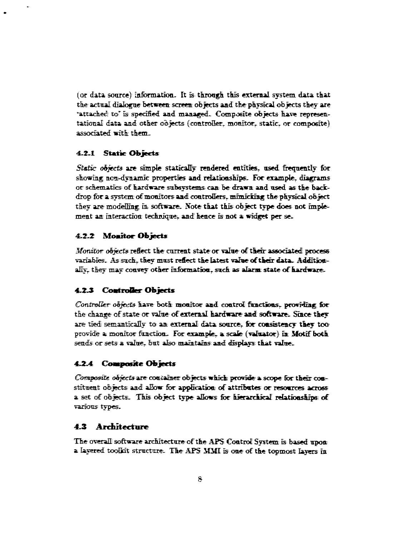(or data source) information. It is through, this external system, data that the actual dialogue between screen; objects aad the physical objects they are 'attached to' is specified and managed. Composite objects have representational data and other oo jects (controller, monitor, static, or composite) associated with them.

#### **4.2-1 Static Objects**

*Static objects* are simple statically rendered entities, used frequently for showing non-dynamic properties and relationships. For example, diagrams or schematics of hardware subsystems can; be drawn and used as the backdrop: for a system of monitors and controllers, mimicking the physical object they are modelling in software. Note that this object type does not implement an interaction technique, and hence is not a widget per se.

#### **4.2.2 Mcwitor Objects**

*Monitor abject®* reflect the current state or value of their associated process variables. As such, they must reflect the latest valve of their data. Additionally, they may convey other information, such as alarm: state of hardware.

### **4.2.3 Controller Objects**

*Controller objects* have both monitor and control functions. providing for the change of state or value of external hardware and software. Since they are tied semantically to an external data source, for consistency they too. provide a monitor function. For example, a scale (valuator) in Motif both sends or sets a value, but also maintains and displays that value.

### **4.2-4 Composite Objects**

*Composite ohytcts* are container objects which provide a scope for their constituent objects and allow for application of attributes or resources across a set of objects. This object type allows for hierarchical relationships of various types.

### **4.3 Architecture**

The overall software architecture of the APS: Control System is based upon a layered toolkit structure. The APS MMI is one of the topm.ost layers in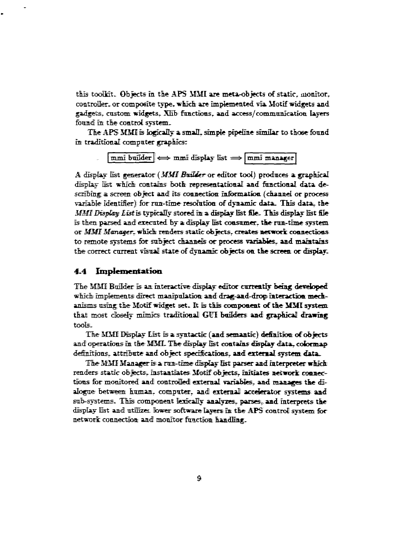this toolkit. Objects in the APS MMI are meta-objects of static, monitor, controller, or composite type. which are implemented via Motif widgets and gadgets. custom widgets. Xlib functions, and access/communication layers found in the control system.

The APS MMI is logically a small, simple pipeline similar to those found in traditional computer graphics:

 $\boxed{\text{mmi}$  builder  $\iff$  mmi display list  $\Longrightarrow$   $\boxed{\text{mmi}}$  manager

*A* display *list* generator *(MSfl BuiMkr* or editor tool) produces a graphical display list which contains both representational and functional data describing a screen object and its connection information (channel or process variable identifier) for run-time resolution of dynamic data. This data, the *MB'fl Display, Listis* typically stored in a display list file. This display list file is then parsed and executed by a display Est consumer, the run-time system or *MMI Manager,* which' renders static objects, creates: network connections to remote systems for subject channels or process variables, and maintains the correct current visual state of dynamic objects on the screen or display.

#### 4.4 Implementation

The MMI Builder is an interactive display editor currently being developed which implements direct manipulation; and drag-and-drop interaction mechanisms using, the Motif widget set. It is thfe component of the MMI system that most closely mimics traditional GUI builders and graphical drawing toofe-

The MMI Display List is a syntactic (and semantic) definition of objects and operations in the MML. The display list contains display data, colormap definitions, attribute and object specifications, and external system: data.

The MMI Manager is a run-time display list parser and interpreter which renders static objects, instantiates Motif objects, initiates network connections for monitored and controlled external variables, and manages the dialogue between human, computer, and external accelerator systems and sub-systems. This component lexically analyzes, parses, and interprets the display list and utilizes. lower software layers in the APS control system for network connection and monitor function handling.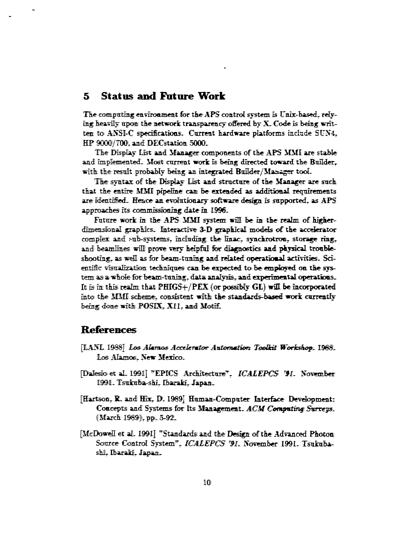#### **Status and Future Work** 5.

The computing environment for the APS control system is Unix-based, relying heavily upon the network transparency offered by X. Code is being written to ANSI-C specifications. Current hardware platforms include SUN4. HP 9000/700. and DECstation 5000.

The Display List and Manager components of the APS MMI are stable and implemented. Most current work is being directed toward the Builder. with the result probably being an integrated Builder/Manager tool.

The syntax of the Display List and structure of the Manager are such that the entire MMI pipeline can be extended as additional requirements. are identified. Hence an evolutionary software design is supported, as APS approaches its commissioning date in 1996.

Future work in the APS MMI system will be in the realm of higherdimensional graphics. Interactive 3-D graphical models of the accelerator complex and sub-systems, including the linac, synchrotron, storage ring, and beamlines will prove very helpful for diagnostics and physical troubleshooting, as well as for beam-tuning and related operational activities. Scientific visualization techniques can be expected to be employed on the system as a whole for beam-tuning, data analysis, and experimental operations. It is in this realm that  $PHIGS+/PEX$  (or possibly  $GL$ ) will be incorporated into the MMI scheme, consistent with the standards-based work currently being done with POSIX, X11, and Motif.

## **References**

- [LANL 1988] Los Alamos Accelerator Automation Toolkit Workshop. 1988. Los Alamos. New Mexico.
- [Dalesio et al. 1991] "EPICS Architecture". ICALEPCS '91. November 1991. Tsukuba-shi, Ibaraki, Japan.
- [Hartson, R. and Hix, D. 1989] Human-Computer Interface Development: Concepts and Systems for Its Management. ACM Computing Surveys. (March 1989), pp. 5-92.
- [McDowell et al. 1991] "Standards and the Design of the Advanced Photon Source Control System", ICALEPCS '91. November 1991. Tsukubashi, Ibaraki, Japan.